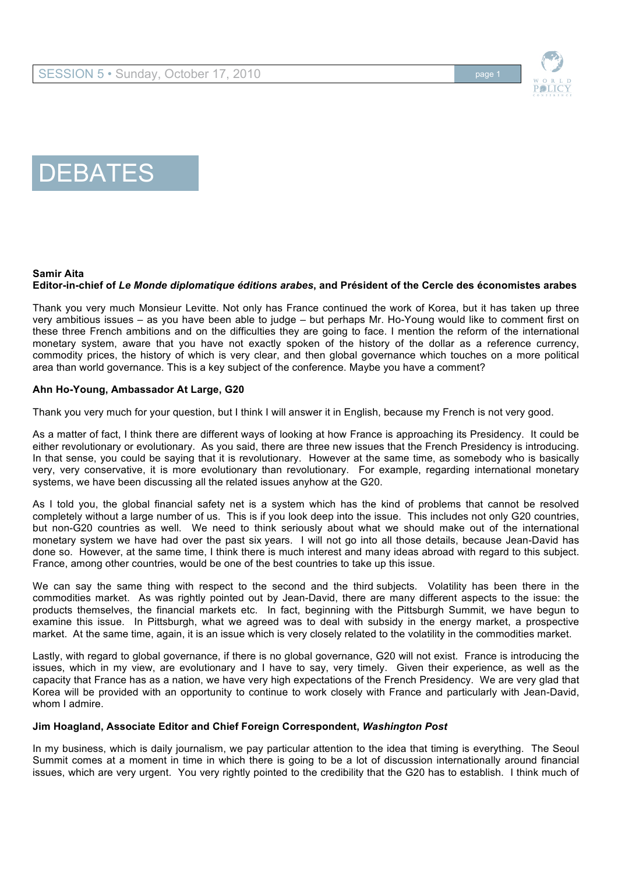

# **DEBATES**

## **Samir Aita**

## **Editor-in-chief of** *Le Monde diplomatique éditions arabes***, and Président of the Cercle des économistes arabes**

Thank you very much Monsieur Levitte. Not only has France continued the work of Korea, but it has taken up three very ambitious issues – as you have been able to judge – but perhaps Mr. Ho-Young would like to comment first on these three French ambitions and on the difficulties they are going to face. I mention the reform of the international monetary system, aware that you have not exactly spoken of the history of the dollar as a reference currency, commodity prices, the history of which is very clear, and then global governance which touches on a more political area than world governance. This is a key subject of the conference. Maybe you have a comment?

## **Ahn Ho-Young, Ambassador At Large, G20**

Thank you very much for your question, but I think I will answer it in English, because my French is not very good.

As a matter of fact, I think there are different ways of looking at how France is approaching its Presidency. It could be either revolutionary or evolutionary. As you said, there are three new issues that the French Presidency is introducing. In that sense, you could be saying that it is revolutionary. However at the same time, as somebody who is basically very, very conservative, it is more evolutionary than revolutionary. For example, regarding international monetary systems, we have been discussing all the related issues anyhow at the G20.

As I told you, the global financial safety net is a system which has the kind of problems that cannot be resolved completely without a large number of us. This is if you look deep into the issue. This includes not only G20 countries, but non-G20 countries as well. We need to think seriously about what we should make out of the international monetary system we have had over the past six years. I will not go into all those details, because Jean-David has done so. However, at the same time, I think there is much interest and many ideas abroad with regard to this subject. France, among other countries, would be one of the best countries to take up this issue.

We can say the same thing with respect to the second and the third subjects. Volatility has been there in the commodities market. As was rightly pointed out by Jean-David, there are many different aspects to the issue: the products themselves, the financial markets etc. In fact, beginning with the Pittsburgh Summit, we have begun to examine this issue. In Pittsburgh, what we agreed was to deal with subsidy in the energy market, a prospective market. At the same time, again, it is an issue which is very closely related to the volatility in the commodities market.

Lastly, with regard to global governance, if there is no global governance, G20 will not exist. France is introducing the issues, which in my view, are evolutionary and I have to say, very timely. Given their experience, as well as the capacity that France has as a nation, we have very high expectations of the French Presidency. We are very glad that Korea will be provided with an opportunity to continue to work closely with France and particularly with Jean-David, whom I admire.

## **Jim Hoagland, Associate Editor and Chief Foreign Correspondent,** *Washington Post*

In my business, which is daily journalism, we pay particular attention to the idea that timing is everything. The Seoul Summit comes at a moment in time in which there is going to be a lot of discussion internationally around financial issues, which are very urgent. You very rightly pointed to the credibility that the G20 has to establish. I think much of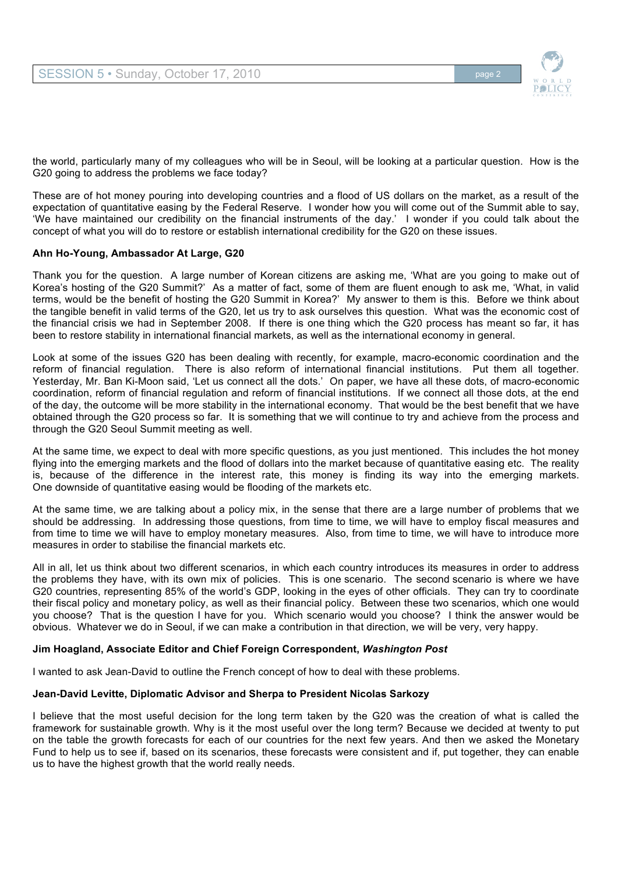

the world, particularly many of my colleagues who will be in Seoul, will be looking at a particular question. How is the G20 going to address the problems we face today?

These are of hot money pouring into developing countries and a flood of US dollars on the market, as a result of the expectation of quantitative easing by the Federal Reserve. I wonder how you will come out of the Summit able to say, 'We have maintained our credibility on the financial instruments of the day.' I wonder if you could talk about the concept of what you will do to restore or establish international credibility for the G20 on these issues.

## **Ahn Ho-Young, Ambassador At Large, G20**

Thank you for the question. A large number of Korean citizens are asking me, 'What are you going to make out of Korea's hosting of the G20 Summit?' As a matter of fact, some of them are fluent enough to ask me, 'What, in valid terms, would be the benefit of hosting the G20 Summit in Korea?' My answer to them is this. Before we think about the tangible benefit in valid terms of the G20, let us try to ask ourselves this question. What was the economic cost of the financial crisis we had in September 2008. If there is one thing which the G20 process has meant so far, it has been to restore stability in international financial markets, as well as the international economy in general.

Look at some of the issues G20 has been dealing with recently, for example, macro-economic coordination and the reform of financial regulation. There is also reform of international financial institutions. Put them all together. Yesterday, Mr. Ban Ki-Moon said, 'Let us connect all the dots.' On paper, we have all these dots, of macro-economic coordination, reform of financial regulation and reform of financial institutions. If we connect all those dots, at the end of the day, the outcome will be more stability in the international economy. That would be the best benefit that we have obtained through the G20 process so far. It is something that we will continue to try and achieve from the process and through the G20 Seoul Summit meeting as well.

At the same time, we expect to deal with more specific questions, as you just mentioned. This includes the hot money flying into the emerging markets and the flood of dollars into the market because of quantitative easing etc. The reality is, because of the difference in the interest rate, this money is finding its way into the emerging markets. One downside of quantitative easing would be flooding of the markets etc.

At the same time, we are talking about a policy mix, in the sense that there are a large number of problems that we should be addressing. In addressing those questions, from time to time, we will have to employ fiscal measures and from time to time we will have to employ monetary measures. Also, from time to time, we will have to introduce more measures in order to stabilise the financial markets etc.

All in all, let us think about two different scenarios, in which each country introduces its measures in order to address the problems they have, with its own mix of policies. This is one scenario. The second scenario is where we have G20 countries, representing 85% of the world's GDP, looking in the eyes of other officials. They can try to coordinate their fiscal policy and monetary policy, as well as their financial policy. Between these two scenarios, which one would you choose? That is the question I have for you. Which scenario would you choose? I think the answer would be obvious. Whatever we do in Seoul, if we can make a contribution in that direction, we will be very, very happy.

## **Jim Hoagland, Associate Editor and Chief Foreign Correspondent,** *Washington Post*

I wanted to ask Jean-David to outline the French concept of how to deal with these problems.

## **Jean-David Levitte, Diplomatic Advisor and Sherpa to President Nicolas Sarkozy**

I believe that the most useful decision for the long term taken by the G20 was the creation of what is called the framework for sustainable growth*.* Why is it the most useful over the long term? Because we decided at twenty to put on the table the growth forecasts for each of our countries for the next few years. And then we asked the Monetary Fund to help us to see if, based on its scenarios, these forecasts were consistent and if, put together, they can enable us to have the highest growth that the world really needs.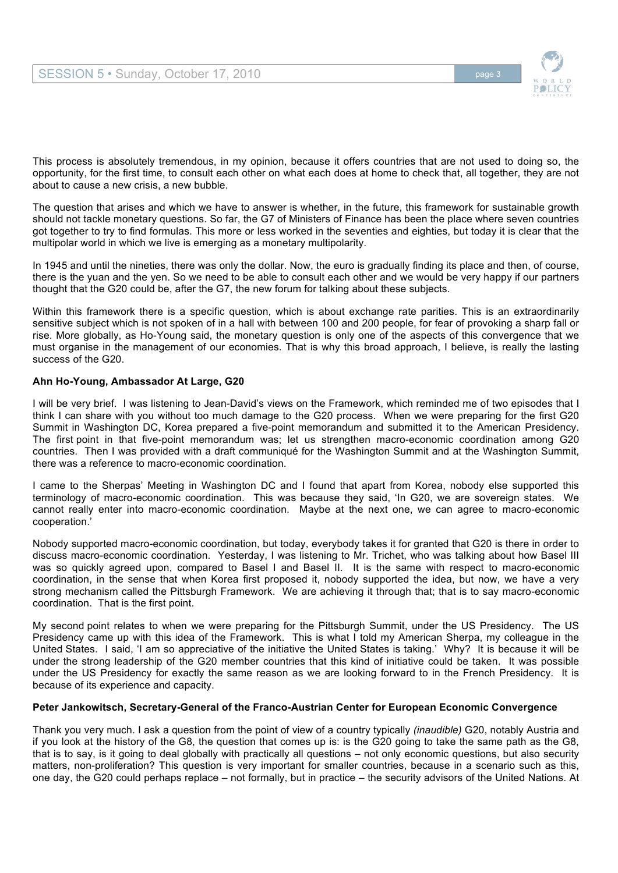

This process is absolutely tremendous, in my opinion, because it offers countries that are not used to doing so, the opportunity, for the first time, to consult each other on what each does at home to check that, all together, they are not about to cause a new crisis, a new bubble.

The question that arises and which we have to answer is whether, in the future, this framework for sustainable growth should not tackle monetary questions. So far, the G7 of Ministers of Finance has been the place where seven countries got together to try to find formulas. This more or less worked in the seventies and eighties, but today it is clear that the multipolar world in which we live is emerging as a monetary multipolarity.

In 1945 and until the nineties, there was only the dollar. Now, the euro is gradually finding its place and then, of course, there is the yuan and the yen. So we need to be able to consult each other and we would be very happy if our partners thought that the G20 could be, after the G7, the new forum for talking about these subjects.

Within this framework there is a specific question, which is about exchange rate parities. This is an extraordinarily sensitive subject which is not spoken of in a hall with between 100 and 200 people, for fear of provoking a sharp fall or rise. More globally, as Ho-Young said, the monetary question is only one of the aspects of this convergence that we must organise in the management of our economies. That is why this broad approach, I believe, is really the lasting success of the G20.

## **Ahn Ho-Young, Ambassador At Large, G20**

I will be very brief. I was listening to Jean-David's views on the Framework, which reminded me of two episodes that I think I can share with you without too much damage to the G20 process. When we were preparing for the first G20 Summit in Washington DC, Korea prepared a five-point memorandum and submitted it to the American Presidency. The first point in that five-point memorandum was; let us strengthen macro-economic coordination among G20 countries. Then I was provided with a draft communiqué for the Washington Summit and at the Washington Summit, there was a reference to macro-economic coordination.

I came to the Sherpas' Meeting in Washington DC and I found that apart from Korea, nobody else supported this terminology of macro-economic coordination. This was because they said, 'In G20, we are sovereign states. We cannot really enter into macro-economic coordination. Maybe at the next one, we can agree to macro-economic cooperation.'

Nobody supported macro-economic coordination, but today, everybody takes it for granted that G20 is there in order to discuss macro-economic coordination. Yesterday, I was listening to Mr. Trichet, who was talking about how Basel III was so quickly agreed upon, compared to Basel I and Basel II. It is the same with respect to macro-economic coordination, in the sense that when Korea first proposed it, nobody supported the idea, but now, we have a very strong mechanism called the Pittsburgh Framework. We are achieving it through that; that is to say macro-economic coordination. That is the first point.

My second point relates to when we were preparing for the Pittsburgh Summit, under the US Presidency. The US Presidency came up with this idea of the Framework. This is what I told my American Sherpa, my colleague in the United States. I said, 'I am so appreciative of the initiative the United States is taking.' Why? It is because it will be under the strong leadership of the G20 member countries that this kind of initiative could be taken. It was possible under the US Presidency for exactly the same reason as we are looking forward to in the French Presidency. It is because of its experience and capacity.

## **Peter Jankowitsch, Secretary-General of the Franco-Austrian Center for European Economic Convergence**

Thank you very much. I ask a question from the point of view of a country typically *(inaudible)* G20, notably Austria and if you look at the history of the G8, the question that comes up is: is the G20 going to take the same path as the G8, that is to say, is it going to deal globally with practically all questions – not only economic questions, but also security matters, non-proliferation? This question is very important for smaller countries, because in a scenario such as this, one day, the G20 could perhaps replace – not formally, but in practice – the security advisors of the United Nations. At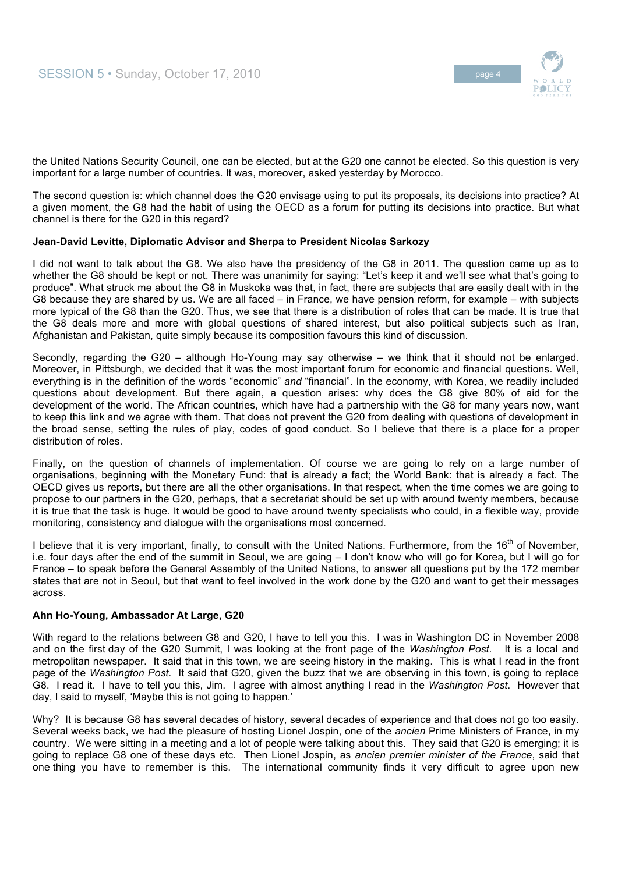

the United Nations Security Council, one can be elected, but at the G20 one cannot be elected. So this question is very important for a large number of countries. It was, moreover, asked yesterday by Morocco.

The second question is: which channel does the G20 envisage using to put its proposals, its decisions into practice? At a given moment, the G8 had the habit of using the OECD as a forum for putting its decisions into practice. But what channel is there for the G20 in this regard?

## **Jean-David Levitte, Diplomatic Advisor and Sherpa to President Nicolas Sarkozy**

I did not want to talk about the G8. We also have the presidency of the G8 in 2011. The question came up as to whether the G8 should be kept or not. There was unanimity for saying: "Let's keep it and we'll see what that's going to produce". What struck me about the G8 in Muskoka was that, in fact, there are subjects that are easily dealt with in the G8 because they are shared by us. We are all faced – in France, we have pension reform, for example – with subjects more typical of the G8 than the G20. Thus, we see that there is a distribution of roles that can be made. It is true that the G8 deals more and more with global questions of shared interest, but also political subjects such as Iran, Afghanistan and Pakistan, quite simply because its composition favours this kind of discussion.

Secondly, regarding the G20 – although Ho-Young may say otherwise – we think that it should not be enlarged. Moreover, in Pittsburgh, we decided that it was the most important forum for economic and financial questions. Well, everything is in the definition of the words "economic" *and* "financial". In the economy, with Korea, we readily included questions about development. But there again, a question arises: why does the G8 give 80% of aid for the development of the world. The African countries, which have had a partnership with the G8 for many years now, want to keep this link and we agree with them. That does not prevent the G20 from dealing with questions of development in the broad sense, setting the rules of play, codes of good conduct. So I believe that there is a place for a proper distribution of roles.

Finally, on the question of channels of implementation. Of course we are going to rely on a large number of organisations, beginning with the Monetary Fund: that is already a fact; the World Bank: that is already a fact. The OECD gives us reports, but there are all the other organisations. In that respect, when the time comes we are going to propose to our partners in the G20, perhaps, that a secretariat should be set up with around twenty members, because it is true that the task is huge. It would be good to have around twenty specialists who could, in a flexible way, provide monitoring, consistency and dialogue with the organisations most concerned.

I believe that it is very important, finally, to consult with the United Nations. Furthermore, from the 16<sup>th</sup> of November, i.e. four days after the end of the summit in Seoul, we are going – I don't know who will go for Korea, but I will go for France – to speak before the General Assembly of the United Nations, to answer all questions put by the 172 member states that are not in Seoul, but that want to feel involved in the work done by the G20 and want to get their messages across.

## **Ahn Ho-Young, Ambassador At Large, G20**

With regard to the relations between G8 and G20, I have to tell you this. I was in Washington DC in November 2008 and on the first day of the G20 Summit, I was looking at the front page of the *Washington Post*. It is a local and metropolitan newspaper. It said that in this town, we are seeing history in the making. This is what I read in the front page of the *Washington Post*. It said that G20, given the buzz that we are observing in this town, is going to replace G8. I read it. I have to tell you this, Jim. I agree with almost anything I read in the *Washington Post*. However that day, I said to myself, 'Maybe this is not going to happen.'

Why? It is because G8 has several decades of history, several decades of experience and that does not go too easily. Several weeks back, we had the pleasure of hosting Lionel Jospin, one of the *ancien* Prime Ministers of France, in my country. We were sitting in a meeting and a lot of people were talking about this. They said that G20 is emerging; it is going to replace G8 one of these days etc. Then Lionel Jospin, as *ancien premier minister of the France*, said that one thing you have to remember is this. The international community finds it very difficult to agree upon new